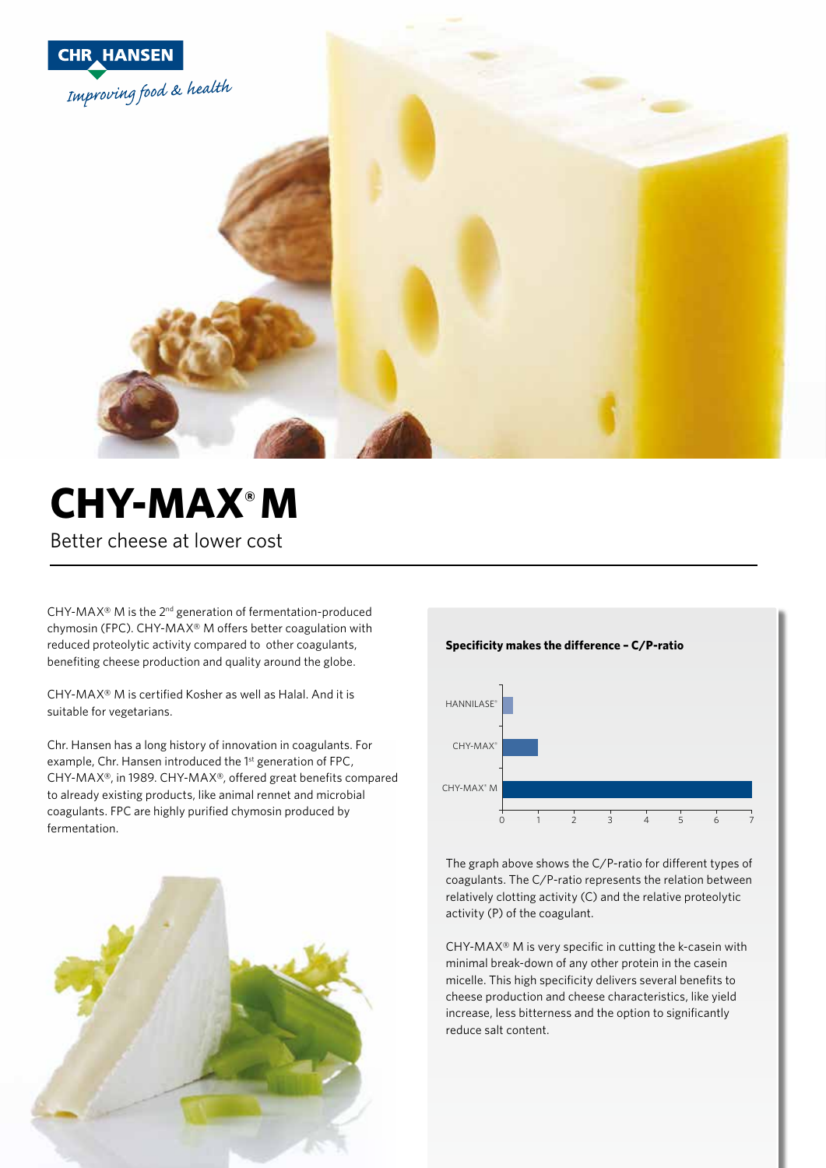

# **CHY-MAX® M** Better cheese at lower cost

CHY-MAX® M is the 2nd generation of fermentation-produced chymosin (FPC). CHY-MAX® M offers better coagulation with reduced proteolytic activity compared to other coagulants, benefiting cheese production and quality around the globe.

CHY-MAX® M is certified Kosher as well as Halal. And it is suitable for vegetarians.

Chr. Hansen has a long history of innovation in coagulants. For example, Chr. Hansen introduced the 1<sup>st</sup> generation of FPC, CHY-MAX®, in 1989. CHY-MAX®, offered great benefits compared to already existing products, like animal rennet and microbial coagulants. FPC are highly purified chymosin produced by fermentation.





The graph above shows the C/P-ratio for different types of coagulants. The C/P-ratio represents the relation between relatively clotting activity (C) and the relative proteolytic activity (P) of the coagulant.

CHY-MAX® M is very specific in cutting the k-casein with minimal break-down of any other protein in the casein micelle. This high specificity delivers several benefits to cheese production and cheese characteristics, like yield increase, less bitterness and the option to significantly reduce salt content.